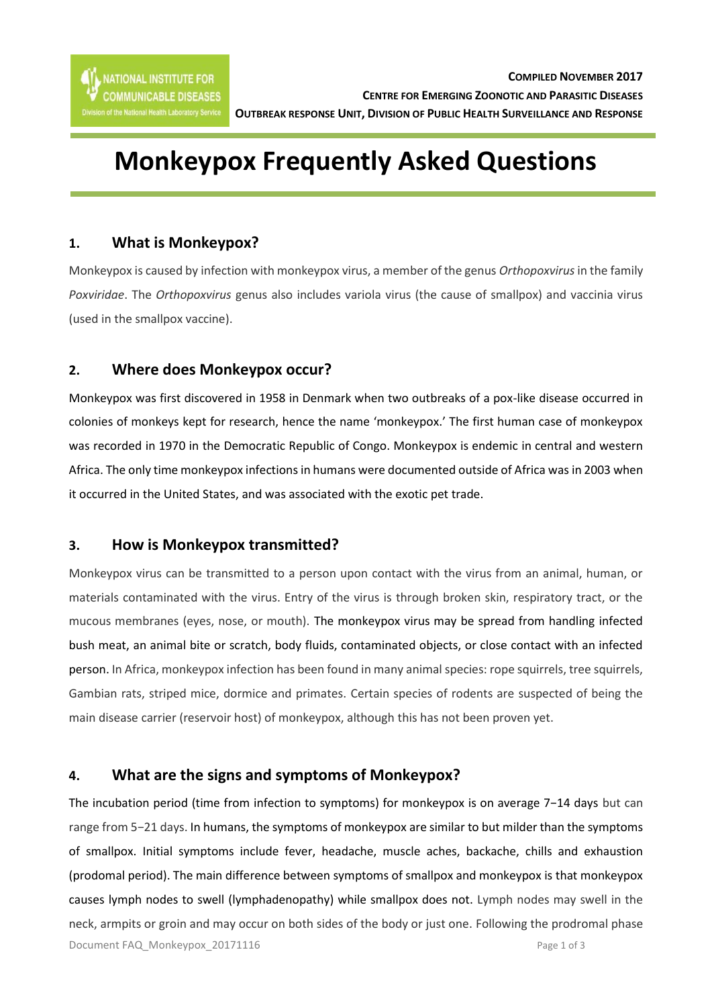# **Monkeypox Frequently Asked Questions**

# **1. What is Monkeypox?**

Monkeypox is caused by infection with monkeypox virus, a member of the genus *Orthopoxvirus* in the family *Poxviridae*. The *Orthopoxvirus* genus also includes variola virus (the cause of smallpox) and vaccinia virus (used in the smallpox vaccine).

# **2. Where does Monkeypox occur?**

Monkeypox was first discovered in 1958 in Denmark when two outbreaks of a pox-like disease occurred in colonies of monkeys kept for research, hence the name 'monkeypox.' The first human case of monkeypox was recorded in 1970 in the Democratic Republic of Congo. Monkeypox is endemic in central and western Africa. The only time monkeypox infections in humans were documented outside of Africa was in 2003 when it occurred in the United States, and was associated with the exotic pet trade.

## **3. How is Monkeypox transmitted?**

Monkeypox virus can be transmitted to a person upon contact with the virus from an animal, human, or materials contaminated with the virus. Entry of the virus is through broken skin, respiratory tract, or the mucous membranes (eyes, nose, or mouth). The monkeypox virus may be spread from handling infected [bush meat,](https://en.wikipedia.org/wiki/Bush_meat) an animal bite or scratch, body fluids, contaminated objects, or close contact with an infected person. In Africa, monkeypox infection has been found in many animal species: rope squirrels, tree squirrels, Gambian rats, striped mice, dormice and primates. Certain species of rodents are suspected of being the main disease carrier (reservoir host) of monkeypox, although this has not been proven yet.

# **4. What are the signs and symptoms of Monkeypox?**

Document FAQ\_Monkeypox\_20171116 example that the control of 3 The incubation period (time from infection to symptoms) for monkeypox is on average 7−14 days but can range from 5−21 days. In humans, the symptoms of monkeypox are similar to but milder than the symptoms of smallpox. Initial symptoms include fever, headache, muscle aches, backache, chills and exhaustion (prodomal period). The main difference between symptoms of smallpox and monkeypox is that monkeypox causes lymph nodes to swell (lymphadenopathy) while smallpox does not. Lymph nodes may swell in the neck, armpits or groin and may occur on both sides of the body or just one. Following the prodromal phase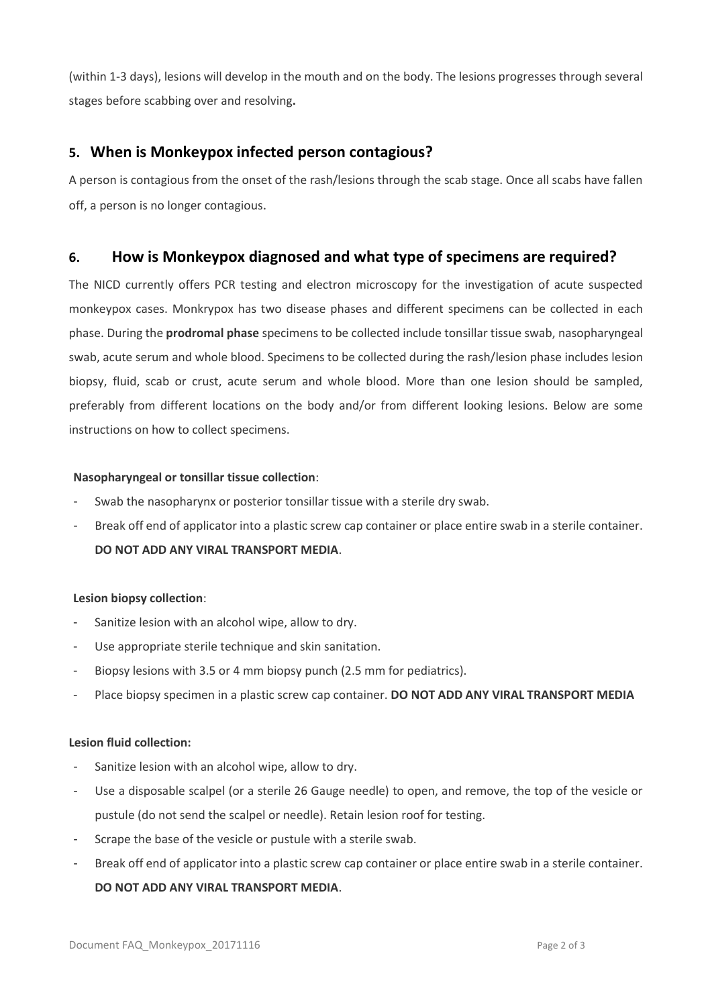(within 1-3 days), lesions will develop in the mouth and on the body. The lesions progresses through several stages before scabbing over and resolving**.** 

# **5. When is Monkeypox infected person contagious?**

A person is contagious from the onset of the rash/lesions through the scab stage. Once all scabs have fallen off, a person is no longer contagious.

# **6. How is Monkeypox diagnosed and what type of specimens are required?**

The NICD currently offers PCR testing and electron microscopy for the investigation of acute suspected monkeypox cases. Monkrypox has two disease phases and different specimens can be collected in each phase. During the **prodromal phase** specimens to be collected include tonsillar tissue swab, nasopharyngeal swab, acute serum and whole blood. Specimens to be collected during the rash/lesion phase includes lesion biopsy, fluid, scab or crust, acute serum and whole blood. More than one lesion should be sampled, preferably from different locations on the body and/or from different looking lesions. Below are some instructions on how to collect specimens.

#### **Nasopharyngeal or tonsillar tissue collection**:

- Swab the nasopharynx or posterior tonsillar tissue with a sterile dry swab.
- Break off end of applicator into a plastic screw cap container or place entire swab in a sterile container. **DO NOT ADD ANY VIRAL TRANSPORT MEDIA**.

### **Lesion biopsy collection**:

- Sanitize lesion with an alcohol wipe, allow to dry.
- Use appropriate sterile technique and skin sanitation.
- Biopsy lesions with 3.5 or 4 mm biopsy punch (2.5 mm for pediatrics).
- Place biopsy specimen in a plastic screw cap container. **DO NOT ADD ANY VIRAL TRANSPORT MEDIA**

#### **Lesion fluid collection:**

- Sanitize lesion with an alcohol wipe, allow to dry.
- Use a disposable scalpel (or a sterile 26 Gauge needle) to open, and remove, the top of the vesicle or pustule (do not send the scalpel or needle). Retain lesion roof for testing.
- Scrape the base of the vesicle or pustule with a sterile swab.
- Break off end of applicator into a plastic screw cap container or place entire swab in a sterile container. **DO NOT ADD ANY VIRAL TRANSPORT MEDIA**.